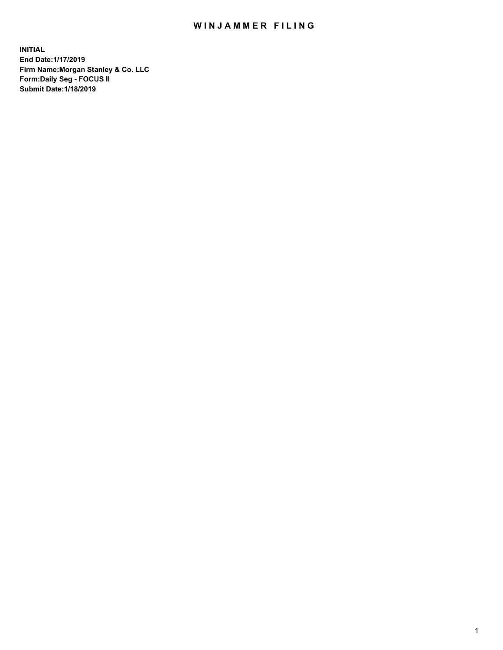## WIN JAMMER FILING

**INITIAL End Date:1/17/2019 Firm Name:Morgan Stanley & Co. LLC Form:Daily Seg - FOCUS II Submit Date:1/18/2019**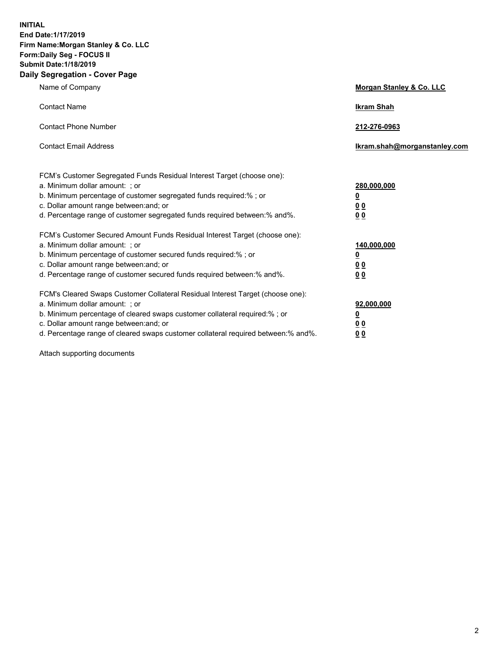**INITIAL End Date:1/17/2019 Firm Name:Morgan Stanley & Co. LLC Form:Daily Seg - FOCUS II Submit Date:1/18/2019 Daily Segregation - Cover Page**

| Name of Company                                                                                                                                                                                                                                                                                                               | Morgan Stanley & Co. LLC                                    |
|-------------------------------------------------------------------------------------------------------------------------------------------------------------------------------------------------------------------------------------------------------------------------------------------------------------------------------|-------------------------------------------------------------|
| <b>Contact Name</b>                                                                                                                                                                                                                                                                                                           | <b>Ikram Shah</b>                                           |
| <b>Contact Phone Number</b>                                                                                                                                                                                                                                                                                                   | 212-276-0963                                                |
| <b>Contact Email Address</b>                                                                                                                                                                                                                                                                                                  | Ikram.shah@morganstanley.com                                |
| FCM's Customer Segregated Funds Residual Interest Target (choose one):<br>a. Minimum dollar amount: ; or<br>b. Minimum percentage of customer segregated funds required:% ; or<br>c. Dollar amount range between: and; or<br>d. Percentage range of customer segregated funds required between:% and%.                        | 280,000,000<br><u>0</u><br><u>00</u><br>0 <sup>0</sup>      |
| FCM's Customer Secured Amount Funds Residual Interest Target (choose one):<br>a. Minimum dollar amount: ; or<br>b. Minimum percentage of customer secured funds required:%; or<br>c. Dollar amount range between: and; or<br>d. Percentage range of customer secured funds required between:% and%.                           | 140,000,000<br><u>0</u><br>0 <sub>0</sub><br>0 <sub>0</sub> |
| FCM's Cleared Swaps Customer Collateral Residual Interest Target (choose one):<br>a. Minimum dollar amount: ; or<br>b. Minimum percentage of cleared swaps customer collateral required:%; or<br>c. Dollar amount range between: and; or<br>d. Percentage range of cleared swaps customer collateral required between:% and%. | 92,000,000<br><u>0</u><br>0 Q<br>00                         |

Attach supporting documents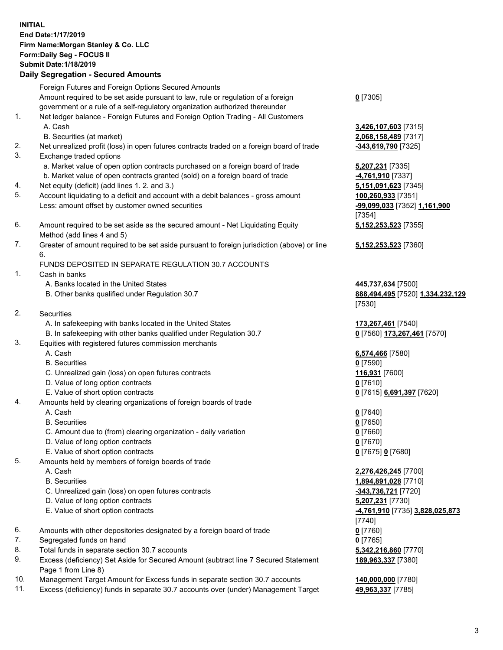## **INITIAL End Date:1/17/2019 Firm Name:Morgan Stanley & Co. LLC Form:Daily Seg - FOCUS II Submit Date:1/18/2019 Daily Segregation - Secured Amounts**

Foreign Futures and Foreign Options Secured Amounts Amount required to be set aside pursuant to law, rule or regulation of a foreign government or a rule of a self-regulatory organization authorized thereunder 1. Net ledger balance - Foreign Futures and Foreign Option Trading - All Customers

- A. Cash **3,426,107,603** [7315]
	- B. Securities (at market) **2,068,158,489** [7317]
- 2. Net unrealized profit (loss) in open futures contracts traded on a foreign board of trade **-343,619,790** [7325]
- 3. Exchange traded options
	- a. Market value of open option contracts purchased on a foreign board of trade **5,207,231** [7335]
	- b. Market value of open contracts granted (sold) on a foreign board of trade **-4,761,910** [7337]
- 4. Net equity (deficit) (add lines 1. 2. and 3.) **5,151,091,623** [7345]
- 5. Account liquidating to a deficit and account with a debit balances gross amount **100,260,933** [7351] Less: amount offset by customer owned securities **-99,099,033** [7352] **1,161,900**
- 6. Amount required to be set aside as the secured amount Net Liquidating Equity Method (add lines 4 and 5)
- 7. Greater of amount required to be set aside pursuant to foreign jurisdiction (above) or line 6.

## FUNDS DEPOSITED IN SEPARATE REGULATION 30.7 ACCOUNTS

- 1. Cash in banks
	- A. Banks located in the United States **445,737,634** [7500]
	- B. Other banks qualified under Regulation 30.7 **888,494,495** [7520] **1,334,232,129**
- 2. Securities
	- A. In safekeeping with banks located in the United States **173,267,461** [7540]
	- B. In safekeeping with other banks qualified under Regulation 30.7 **0** [7560] **173,267,461** [7570]
- 3. Equities with registered futures commission merchants
	-
	- B. Securities **0** [7590]
	- C. Unrealized gain (loss) on open futures contracts **116,931** [7600]
	- D. Value of long option contracts **0** [7610]
- E. Value of short option contracts **0** [7615] **6,691,397** [7620]
- 4. Amounts held by clearing organizations of foreign boards of trade
	- A. Cash **0** [7640]
	- B. Securities **0** [7650]
	- C. Amount due to (from) clearing organization daily variation **0** [7660]
	- D. Value of long option contracts **0** [7670]
	- E. Value of short option contracts **0** [7675] **0** [7680]
- 5. Amounts held by members of foreign boards of trade
	-
	-
	- C. Unrealized gain (loss) on open futures contracts **-343,736,721** [7720]
	- D. Value of long option contracts **5,207,231** [7730]
	- E. Value of short option contracts **-4,761,910** [7735] **3,828,025,873**
- 6. Amounts with other depositories designated by a foreign board of trade **0** [7760]
- 7. Segregated funds on hand **0** [7765]
- 8. Total funds in separate section 30.7 accounts **5,342,216,860** [7770]
- 9. Excess (deficiency) Set Aside for Secured Amount (subtract line 7 Secured Statement Page 1 from Line 8)
- 10. Management Target Amount for Excess funds in separate section 30.7 accounts **140,000,000** [7780]
- 11. Excess (deficiency) funds in separate 30.7 accounts over (under) Management Target **49,963,337** [7785]

**0** [7305]

[7354] **5,152,253,523** [7355]

**5,152,253,523** [7360]

[7530]

A. Cash **6,574,466** [7580]

 A. Cash **2,276,426,245** [7700] B. Securities **1,894,891,028** [7710] [7740] **189,963,337** [7380]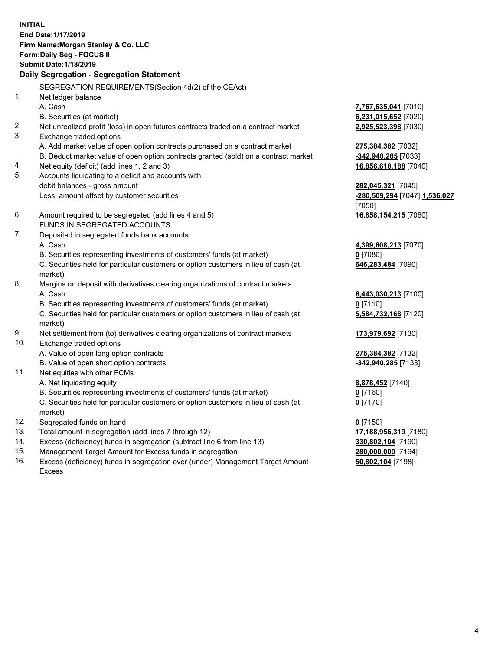**INITIAL End Date:1/17/2019 Firm Name:Morgan Stanley & Co. LLC Form:Daily Seg - FOCUS II Submit Date:1/18/2019 Daily Segregation - Segregation Statement** SEGREGATION REQUIREMENTS(Section 4d(2) of the CEAct) 1. Net ledger balance A. Cash **7,767,635,041** [7010] B. Securities (at market) **6,231,015,652** [7020] 2. Net unrealized profit (loss) in open futures contracts traded on a contract market **2,925,523,398** [7030] 3. Exchange traded options A. Add market value of open option contracts purchased on a contract market **275,384,382** [7032] B. Deduct market value of open option contracts granted (sold) on a contract market **-342,940,285** [7033] 4. Net equity (deficit) (add lines 1, 2 and 3) **16,856,618,188** [7040] 5. Accounts liquidating to a deficit and accounts with debit balances - gross amount **282,045,321** [7045] Less: amount offset by customer securities **-280,509,294** [7047] **1,536,027** [7050] 6. Amount required to be segregated (add lines 4 and 5) **16,858,154,215** [7060] FUNDS IN SEGREGATED ACCOUNTS 7. Deposited in segregated funds bank accounts A. Cash **4,399,608,213** [7070] B. Securities representing investments of customers' funds (at market) **0** [7080] C. Securities held for particular customers or option customers in lieu of cash (at market) **646,283,484** [7090] 8. Margins on deposit with derivatives clearing organizations of contract markets A. Cash **6,443,030,213** [7100] B. Securities representing investments of customers' funds (at market) **0** [7110] C. Securities held for particular customers or option customers in lieu of cash (at market) **5,584,732,168** [7120] 9. Net settlement from (to) derivatives clearing organizations of contract markets **173,979,692** [7130] 10. Exchange traded options A. Value of open long option contracts **275,384,382** [7132] B. Value of open short option contracts **-342,940,285** [7133] 11. Net equities with other FCMs A. Net liquidating equity **8,878,452** [7140] B. Securities representing investments of customers' funds (at market) **0** [7160] C. Securities held for particular customers or option customers in lieu of cash (at market) **0** [7170] 12. Segregated funds on hand **0** [7150] 13. Total amount in segregation (add lines 7 through 12) **17,188,956,319** [7180] 14. Excess (deficiency) funds in segregation (subtract line 6 from line 13) **330,802,104** [7190]

- 15. Management Target Amount for Excess funds in segregation **280,000,000** [7194]
- 16. Excess (deficiency) funds in segregation over (under) Management Target Amount Excess

**50,802,104** [7198]